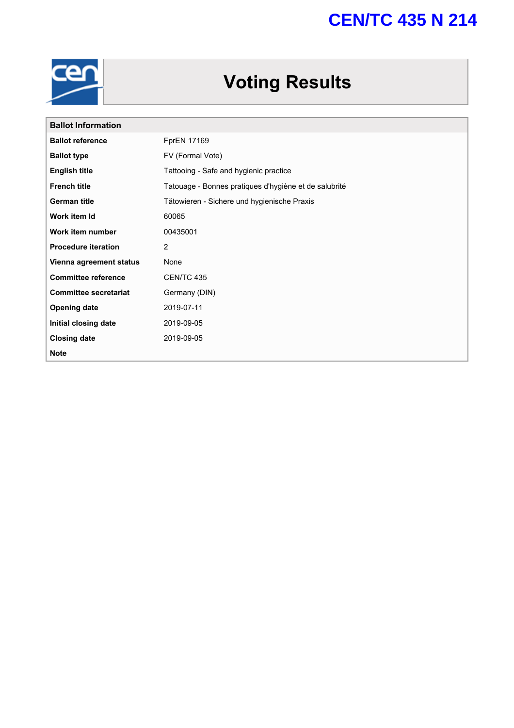# **CEN/TC 435 N 214**



# **Voting Results**

| <b>Ballot Information</b>    |                                                       |
|------------------------------|-------------------------------------------------------|
| <b>Ballot reference</b>      | <b>FprEN 17169</b>                                    |
| <b>Ballot type</b>           | FV (Formal Vote)                                      |
| <b>English title</b>         | Tattooing - Safe and hygienic practice                |
| <b>French title</b>          | Tatouage - Bonnes pratiques d'hygiène et de salubrité |
| <b>German title</b>          | Tätowieren - Sichere und hygienische Praxis           |
| Work item Id                 | 60065                                                 |
| Work item number             | 00435001                                              |
| <b>Procedure iteration</b>   | 2                                                     |
| Vienna agreement status      | None                                                  |
| <b>Committee reference</b>   | CEN/TC 435                                            |
| <b>Committee secretariat</b> | Germany (DIN)                                         |
| <b>Opening date</b>          | 2019-07-11                                            |
| Initial closing date         | 2019-09-05                                            |
| <b>Closing date</b>          | 2019-09-05                                            |
| <b>Note</b>                  |                                                       |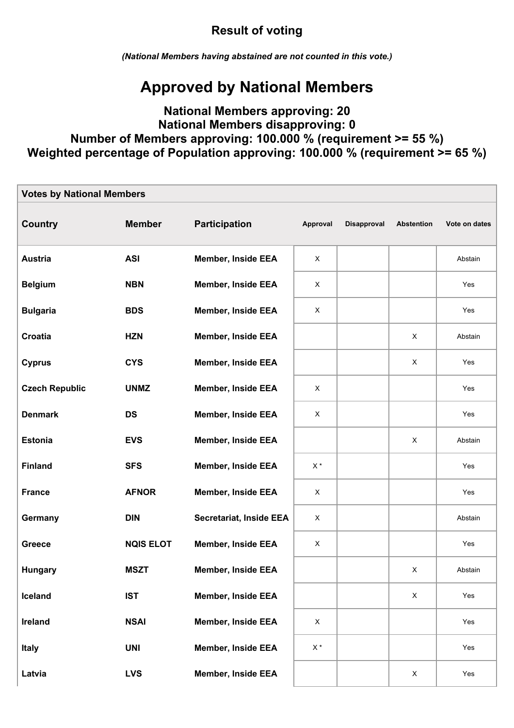## **Result of voting**

*(National Members having abstained are not counted in this vote.)*

## **Approved by National Members**

### **National Members approving: 20 National Members disapproving: 0 Number of Members approving: 100.000 % (requirement >= 55 %) Weighted percentage of Population approving: 100.000 % (requirement >= 65 %)**

| <b>Votes by National Members</b> |                  |                                |                         |                    |                           |               |  |  |  |
|----------------------------------|------------------|--------------------------------|-------------------------|--------------------|---------------------------|---------------|--|--|--|
| <b>Country</b>                   | <b>Member</b>    | <b>Participation</b>           | Approval                | <b>Disapproval</b> | <b>Abstention</b>         | Vote on dates |  |  |  |
| <b>Austria</b>                   | <b>ASI</b>       | <b>Member, Inside EEA</b>      | X                       |                    |                           | Abstain       |  |  |  |
| <b>Belgium</b>                   | <b>NBN</b>       | <b>Member, Inside EEA</b>      | X                       |                    |                           | Yes           |  |  |  |
| <b>Bulgaria</b>                  | <b>BDS</b>       | <b>Member, Inside EEA</b>      | $\times$                |                    |                           | Yes           |  |  |  |
| Croatia                          | <b>HZN</b>       | <b>Member, Inside EEA</b>      |                         |                    | X                         | Abstain       |  |  |  |
| <b>Cyprus</b>                    | <b>CYS</b>       | <b>Member, Inside EEA</b>      |                         |                    | $\boldsymbol{\mathsf{X}}$ | Yes           |  |  |  |
| <b>Czech Republic</b>            | <b>UNMZ</b>      | <b>Member, Inside EEA</b>      | $\pmb{\times}$          |                    |                           | Yes           |  |  |  |
| <b>Denmark</b>                   | <b>DS</b>        | <b>Member, Inside EEA</b>      | $\times$                |                    |                           | Yes           |  |  |  |
| <b>Estonia</b>                   | <b>EVS</b>       | <b>Member, Inside EEA</b>      |                         |                    | X                         | Abstain       |  |  |  |
| <b>Finland</b>                   | <b>SFS</b>       | <b>Member, Inside EEA</b>      | $\mathsf{X}$ $^{\star}$ |                    |                           | Yes           |  |  |  |
| <b>France</b>                    | <b>AFNOR</b>     | <b>Member, Inside EEA</b>      | $\pmb{\times}$          |                    |                           | Yes           |  |  |  |
| Germany                          | <b>DIN</b>       | <b>Secretariat, Inside EEA</b> | X                       |                    |                           | Abstain       |  |  |  |
| <b>Greece</b>                    | <b>NQIS ELOT</b> | <b>Member, Inside EEA</b>      | X                       |                    |                           | Yes           |  |  |  |
| <b>Hungary</b>                   | <b>MSZT</b>      | <b>Member, Inside EEA</b>      |                         |                    | X                         | Abstain       |  |  |  |
| Iceland                          | <b>IST</b>       | <b>Member, Inside EEA</b>      |                         |                    | $\boldsymbol{\mathsf{X}}$ | Yes           |  |  |  |
| Ireland                          | <b>NSAI</b>      | <b>Member, Inside EEA</b>      | $\mathsf X$             |                    |                           | Yes           |  |  |  |
| <b>Italy</b>                     | <b>UNI</b>       | <b>Member, Inside EEA</b>      | $\mathsf{X}$ $^{\star}$ |                    |                           | Yes           |  |  |  |
| Latvia                           | <b>LVS</b>       | <b>Member, Inside EEA</b>      |                         |                    | X                         | Yes           |  |  |  |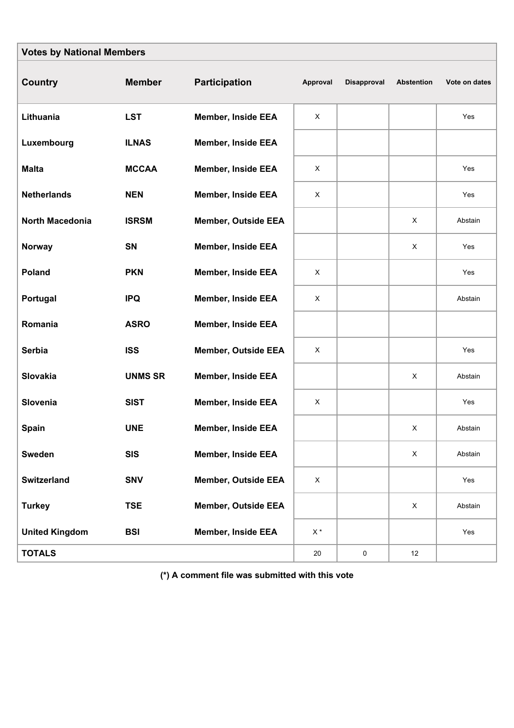| <b>Votes by National Members</b> |                |                            |                         |             |                           |               |  |  |  |
|----------------------------------|----------------|----------------------------|-------------------------|-------------|---------------------------|---------------|--|--|--|
| Country                          | <b>Member</b>  | <b>Participation</b>       | Approval                | Disapproval | Abstention                | Vote on dates |  |  |  |
| Lithuania                        | <b>LST</b>     | <b>Member, Inside EEA</b>  | X                       |             |                           | Yes           |  |  |  |
| Luxembourg                       | <b>ILNAS</b>   | <b>Member, Inside EEA</b>  |                         |             |                           |               |  |  |  |
| <b>Malta</b>                     | <b>MCCAA</b>   | <b>Member, Inside EEA</b>  | X                       |             |                           | Yes           |  |  |  |
| <b>Netherlands</b>               | <b>NEN</b>     | <b>Member, Inside EEA</b>  | X                       |             |                           | Yes           |  |  |  |
| North Macedonia                  | <b>ISRSM</b>   | <b>Member, Outside EEA</b> |                         |             | $\mathsf X$               | Abstain       |  |  |  |
| <b>Norway</b>                    | SN             | <b>Member, Inside EEA</b>  |                         |             | X                         | Yes           |  |  |  |
| Poland                           | <b>PKN</b>     | <b>Member, Inside EEA</b>  | X                       |             |                           | Yes           |  |  |  |
| Portugal                         | <b>IPQ</b>     | <b>Member, Inside EEA</b>  | X                       |             |                           | Abstain       |  |  |  |
| Romania                          | <b>ASRO</b>    | <b>Member, Inside EEA</b>  |                         |             |                           |               |  |  |  |
| <b>Serbia</b>                    | <b>ISS</b>     | <b>Member, Outside EEA</b> | X                       |             |                           | Yes           |  |  |  |
| Slovakia                         | <b>UNMS SR</b> | <b>Member, Inside EEA</b>  |                         |             | X                         | Abstain       |  |  |  |
| Slovenia                         | <b>SIST</b>    | <b>Member, Inside EEA</b>  | X                       |             |                           | Yes           |  |  |  |
| Spain                            | <b>UNE</b>     | <b>Member, Inside EEA</b>  |                         |             | X                         | Abstain       |  |  |  |
| <b>Sweden</b>                    | <b>SIS</b>     | <b>Member, Inside EEA</b>  |                         |             | $\boldsymbol{\mathsf{X}}$ | Abstain       |  |  |  |
| Switzerland                      | <b>SNV</b>     | <b>Member, Outside EEA</b> | $\mathsf X$             |             |                           | Yes           |  |  |  |
| <b>Turkey</b>                    | <b>TSE</b>     | <b>Member, Outside EEA</b> |                         |             | $\boldsymbol{\mathsf{X}}$ | Abstain       |  |  |  |
| <b>United Kingdom</b>            | <b>BSI</b>     | <b>Member, Inside EEA</b>  | $\mathsf{X}$ $^{\star}$ |             |                           | Yes           |  |  |  |
| <b>TOTALS</b>                    |                |                            | $20\,$                  | 0           | 12                        |               |  |  |  |

**(\*) A comment file was submitted with this vote**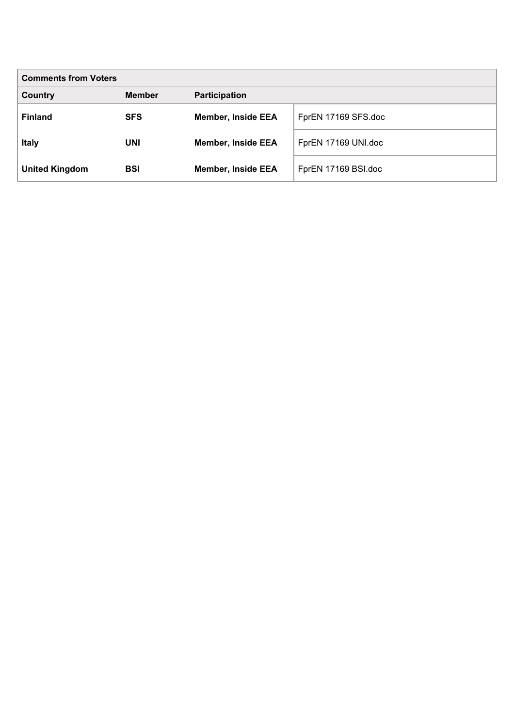| <b>Comments from Voters</b> |               |                           |                     |  |  |  |
|-----------------------------|---------------|---------------------------|---------------------|--|--|--|
| Country                     | <b>Member</b> | <b>Participation</b>      |                     |  |  |  |
| <b>Finland</b>              | <b>SFS</b>    | <b>Member, Inside EEA</b> | FprEN 17169 SFS.doc |  |  |  |
| <b>Italy</b>                | UNI           | <b>Member, Inside EEA</b> | FprEN 17169 UNI.doc |  |  |  |
| <b>United Kingdom</b>       | <b>BSI</b>    | <b>Member, Inside EEA</b> | FprEN 17169 BSI.doc |  |  |  |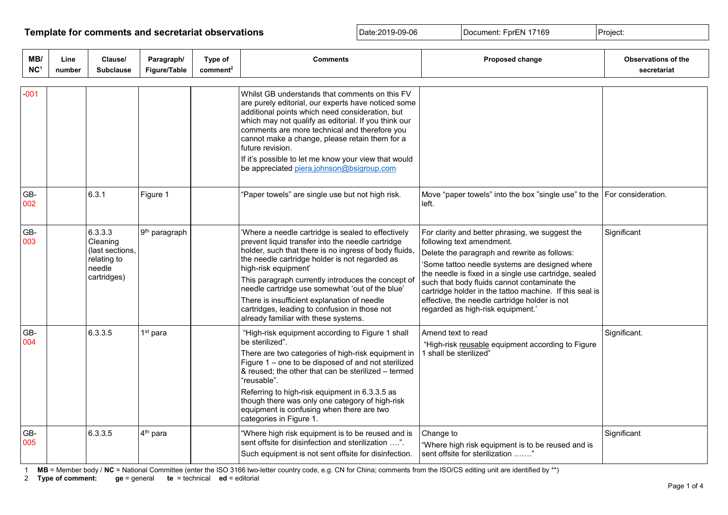### **Template for comments and secretariat observations Date:2019-09-06** Document: FprEN 17169 Project:

| MB/<br>NC <sup>1</sup> | Line<br>number | Clause/<br><b>Subclause</b>                                                    | Paragraph/<br>Figure/Table | Type of<br>comment <sup>2</sup> | <b>Comments</b>                                                                                                                                                                                                                                                                                                                                                                                                                                                                             | Proposed change                                                                                                                                                                                                                                                                                                                                                                                                                          | Observations of the<br>secretariat |
|------------------------|----------------|--------------------------------------------------------------------------------|----------------------------|---------------------------------|---------------------------------------------------------------------------------------------------------------------------------------------------------------------------------------------------------------------------------------------------------------------------------------------------------------------------------------------------------------------------------------------------------------------------------------------------------------------------------------------|------------------------------------------------------------------------------------------------------------------------------------------------------------------------------------------------------------------------------------------------------------------------------------------------------------------------------------------------------------------------------------------------------------------------------------------|------------------------------------|
| 001                    |                |                                                                                |                            |                                 | Whilst GB understands that comments on this FV<br>are purely editorial, our experts have noticed some<br>additional points which need consideration, but<br>which may not qualify as editorial. If you think our<br>comments are more technical and therefore you<br>cannot make a change, please retain them for a<br>future revision.<br>If it's possible to let me know your view that would<br>be appreciated piera.johnson@bsigroup.com                                                |                                                                                                                                                                                                                                                                                                                                                                                                                                          |                                    |
| GB-<br>002             |                | 6.3.1                                                                          | Figure 1                   |                                 | 'Paper towels" are single use but not high risk.                                                                                                                                                                                                                                                                                                                                                                                                                                            | Move "paper towels" into the box "single use" to the   For consideration.<br>left.                                                                                                                                                                                                                                                                                                                                                       |                                    |
| GB-<br>003             |                | 6.3.3.3<br>Cleaning<br>(last sections,<br>relating to<br>needle<br>cartridges) | 9 <sup>th</sup> paragraph  |                                 | 'Where a needle cartridge is sealed to effectively<br>prevent liquid transfer into the needle cartridge<br>holder, such that there is no ingress of body fluids,<br>the needle cartridge holder is not regarded as<br>high-risk equipment'<br>This paragraph currently introduces the concept of<br>needle cartridge use somewhat 'out of the blue'<br>There is insufficient explanation of needle<br>cartridges, leading to confusion in those not<br>already familiar with these systems. | For clarity and better phrasing, we suggest the<br>following text amendment.<br>Delete the paragraph and rewrite as follows:<br>'Some tattoo needle systems are designed where<br>the needle is fixed in a single use cartridge, sealed<br>such that body fluids cannot contaminate the<br>cartridge holder in the tattoo machine. If this seal is<br>effective, the needle cartridge holder is not<br>regarded as high-risk equipment.' | Significant                        |
| GB-<br>004             |                | 6.3.3.5                                                                        | $1st$ para                 |                                 | "High-risk equipment according to Figure 1 shall<br>be sterilized".<br>There are two categories of high-risk equipment in<br>Figure 1 – one to be disposed of and not sterilized<br>& reused; the other that can be sterilized - termed<br>"reusable".<br>Referring to high-risk equipment in 6.3.3.5 as<br>though there was only one category of high-risk<br>equipment is confusing when there are two<br>categories in Figure 1.                                                         | Amend text to read<br>"High-risk reusable equipment according to Figure<br>1 shall be sterilized"                                                                                                                                                                                                                                                                                                                                        | Significant.                       |
| GB-<br>005             |                | 6.3.3.5                                                                        | 4 <sup>th</sup> para       |                                 | "Where high risk equipment is to be reused and is<br>sent offsite for disinfection and sterilization ".<br>Such equipment is not sent offsite for disinfection.                                                                                                                                                                                                                                                                                                                             | Change to<br>"Where high risk equipment is to be reused and is<br>sent offsite for sterilization "                                                                                                                                                                                                                                                                                                                                       | Significant                        |

1 **MB** = Member body / **NC** = National Committee (enter the ISO 3166 two-letter country code, e.g. CN for China; comments from the ISO/CS editing unit are identified by \*\*)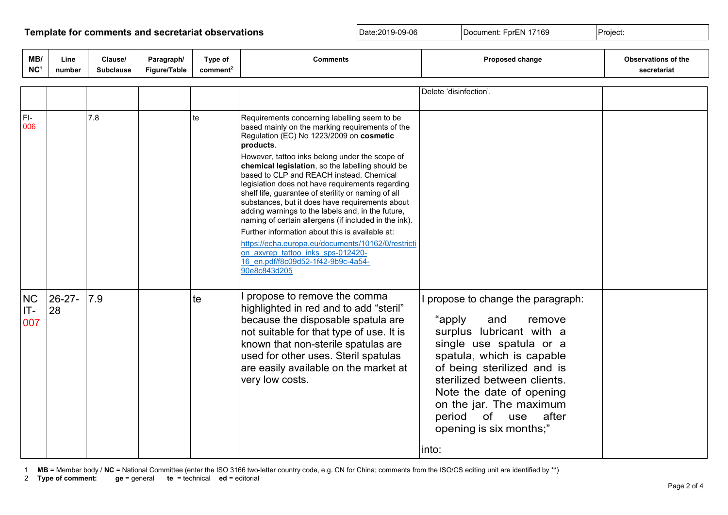### **Template for comments and secretariat observations Date:2019-09-06** Document: FprEN 17169 Project:

| MB/<br>NC <sup>1</sup>  | Line<br>number    | Clause/<br><b>Subclause</b> | Paragraph/<br>Figure/Table | Type of<br>comment <sup>2</sup> | <b>Comments</b>                                                                                                                                                                                                                                                                                                                                                                                                                                                                                                                                                                                                                                                                                                                                                                            | <b>Proposed change</b>                                                                                                                                                                                                                                                                                                             | <b>Observations of the</b><br>secretariat |
|-------------------------|-------------------|-----------------------------|----------------------------|---------------------------------|--------------------------------------------------------------------------------------------------------------------------------------------------------------------------------------------------------------------------------------------------------------------------------------------------------------------------------------------------------------------------------------------------------------------------------------------------------------------------------------------------------------------------------------------------------------------------------------------------------------------------------------------------------------------------------------------------------------------------------------------------------------------------------------------|------------------------------------------------------------------------------------------------------------------------------------------------------------------------------------------------------------------------------------------------------------------------------------------------------------------------------------|-------------------------------------------|
|                         |                   |                             |                            |                                 |                                                                                                                                                                                                                                                                                                                                                                                                                                                                                                                                                                                                                                                                                                                                                                                            | Delete 'disinfection'.                                                                                                                                                                                                                                                                                                             |                                           |
| $FI-$<br>006            |                   | 7.8                         |                            | te                              | Requirements concerning labelling seem to be<br>based mainly on the marking requirements of the<br>Regulation (EC) No 1223/2009 on cosmetic<br>products.<br>However, tattoo inks belong under the scope of<br>chemical legislation, so the labelling should be<br>based to CLP and REACH instead. Chemical<br>legislation does not have requirements regarding<br>shelf life, guarantee of sterility or naming of all<br>substances, but it does have requirements about<br>adding warnings to the labels and, in the future,<br>naming of certain allergens (if included in the ink).<br>Further information about this is available at:<br>https://echa.europa.eu/documents/10162/0/restricti<br>on axvrep tattoo inks sps-012420-<br>16 en.pdf/f8c09d52-1f42-9b9c-4a54-<br>90e8c843d205 |                                                                                                                                                                                                                                                                                                                                    |                                           |
| <b>NC</b><br>IT-<br>007 | $26 - 27 -$<br>28 | 7.9                         |                            | te                              | propose to remove the comma<br>highlighted in red and to add "steril"<br>because the disposable spatula are<br>not suitable for that type of use. It is<br>known that non-sterile spatulas are<br>used for other uses. Steril spatulas<br>are easily available on the market at<br>very low costs.                                                                                                                                                                                                                                                                                                                                                                                                                                                                                         | propose to change the paragraph:<br>"apply<br>and<br>remove<br>surplus lubricant with a<br>single use spatula or a<br>spatula, which is capable<br>of being sterilized and is<br>sterilized between clients.<br>Note the date of opening<br>on the jar. The maximum<br>period of use<br>after<br>opening is six months;"<br>∣into∶ |                                           |

1 **MB** = Member body / **NC** = National Committee (enter the ISO 3166 two-letter country code, e.g. CN for China; comments from the ISO/CS editing unit are identified by \*\*)